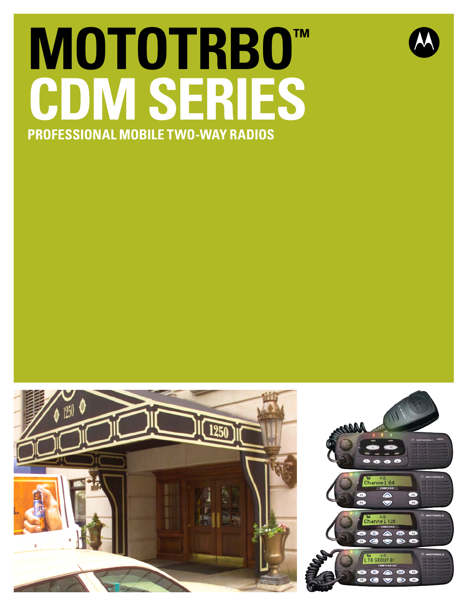# **MOTOTRBO™ CDM Series Professional Mobile Two-way Radios**





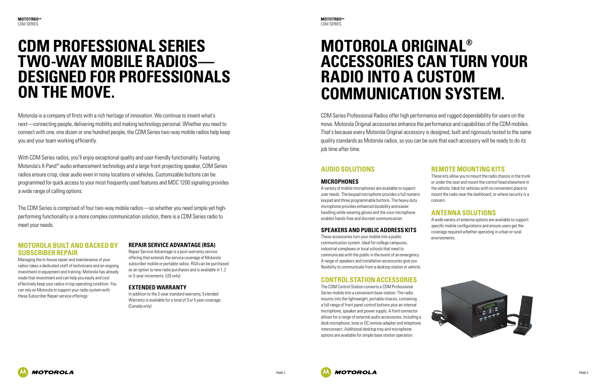

## **CDM Professional Series two-way mobile radios designed for professionals on the move.**

Motorola is a company of firsts with a rich heritage of innovation. We continue to invent what's next—connecting people, delivering mobility and making technology personal. Whether you need to connect with one, one dozen or one hundred people, the CDM Series two-way mobile radios help keep you and your team working efficiently.

With CDM Series radios, you'll enjoy exceptional quality and user-friendly functionality. Featuring Motorola's X-Pand™ audio enhancement technology and a large front projecting speaker, CDM Series radios ensure crisp, clear audio even in noisy locations or vehicles. Customizable buttons can be programmed for quick access to your most frequently used features and MDC 1200 signaling provides a wide range of calling options.

The CDM Series is comprised of four two-way mobile radios—so whether you need simple yet highperforming functionality or a more complex communication solution, there is a CDM Series radio to meet your needs.

#### **Motorola built and backed by Subscriber Repair**

Managing the in-house repair and maintenance of your radios takes a dedicated staff of technicians and an ongoing investment in equipment and training. Motorola has already made that investment and can help you easily and cost effectively keep your radios in top operating condition. You can rely on Motorola to support your radio system with these Subscriber Repair service offerings:

#### **Repair Service Advantage (RSA)**

Repair Service Advantage is a post-warranty service offering that extends the service coverage of Motorola subscriber mobile or portable radios. RSA can be purchased as an option to new radio purchases and is available in 1, 2 or 3-year increments. (US only)

#### **Extended Warranty**

In addition to the 2-year standard warranty, Extended Warranty is available for a total of 3 or 5 year coverage. (Canada only)

## **Motorola Original® accessories can turn your radio into a custom communication system.**

CDM Series Professional Radios offer high performance and rugged dependability for users on the move. Motorola Original accessories enhance the performance and capabilities of the CDM mobiles. That's because every Motorola Original accessory is designed, built and rigorously tested to the same quality standards as Motorola radios, so you can be sure that each accessory will be ready to do its job time after time.

#### **Audio Solutions**

#### **Microphones**

A variety of mobile microphones are available to support user needs. The keypad microphone provides a full numeric keypad and three programmable buttons. The heavy duty microphone provides enhanced durability and easier handling while wearing gloves and the visor microphone enables hands-free and discreet communication.

#### **Speakers and Public Address Kits**

These accessories turn your mobile into a public communication system. Ideal for college campuses, industrial complexes or local schools that need to communicate with the public in the event of an emergency. A range of speakers and installation accessories give you flexibility to communicate from a desktop station or vehicle.

#### **Control Station Accessories**

The CDM Control Station converts a CDM Professional Series mobile into a convenient base station. The radio mounts into the lightweight, portable chassis, containing a full range of front panel control buttons plus an internal microphone, speaker and power supply. A front connector allows for a range of external audio accessories; including a desk microphone, tone or DC remote adapter and telephone interconnect. Additional desktop tray and microphone options are available for simple base station operation.





#### **Remote Mounting Kits**

These kits allow you to mount the radio chassis in the trunk or under the seat and mount the control head elsewhere in the vehicle. Ideal for vehicles with no convenient place to mount the radio near the dashboard, or where security is a

concern.

#### **Antenna Solutions**

A wide variety of antenna options are available to support specific mobile configurations and ensure users get the coverage required whether operating in urban or rural

environments.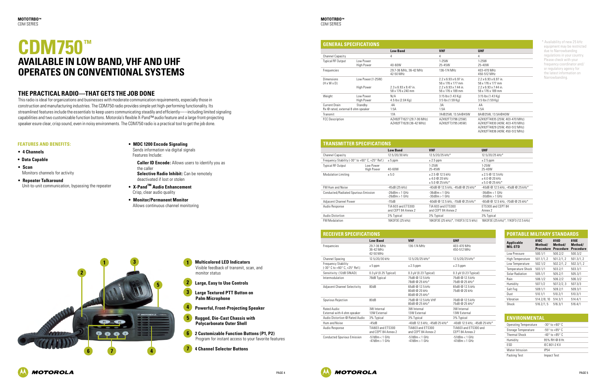

### **CDM750™ Available in Low Band, VHF and UHF Operates on Conventional Systems**

- **1 Multicolored LED Indicators** Visible feedback of transmit, scan, and monitor status **2 Large, Easy to Use Controls 1 2**
- **3 Large Textured PTT Button on 3 Palm Microphone**
- **4 Powerful, Front-Projecting Speaker 4**
- **5 Rugged, Die-Cast Chassis with Polycarbonate Outer Shell 5**
- **6 2 Customizable Function Buttons (P1, P2)** Program for instant access to your favorite features **6**
- **7 4 Channel Selector Buttons**



This radio is ideal for organizations and businesses with moderate communication requirements, especially those in construction and manufacturing industries. The CDM750 radio provides simple yet high-performing functionality. Its streamlined features include the essentials to keep users communicating steadily and efficiently—–including limited signaling capabilities and two customizable function buttons. Motorola's flexible X-Pand™ audio feature and a large front-projecting speaker esure clear, crisp sound, even in noisy environments. The CDM750 radio is a practical tool to get the job done.

#### **Features and Benefits:**

- **4 Channels**
- **Data Capable**
- **Scan** Monitors channels for activity
- **Repeater Talkaround** Unit-to-unit communication, bypassing the repeater
- **MDC 1200 Encode Signaling** Sends information via digital signals

Features Include:

#### **GENERAL SPECIFICATIONS Low Band VHF UHF** Channel Capacity 4 4 4 Typical RF Output Low Power High Power 40-60W 1-25W  $25 - 45$ Frequencies 29.7-36 MHz, 36-42 MHz 42-50 MHz 136-1 Dimensions (H x W x D) Low Power (1-25W) High Power 2.3 x 6.93 x 9.47 in. 58 x 176 x 240 mm  $2.2 \times 6$ 56 x  $2.2 x 6$ 56 x Weight Low Power High Power N/A 4.5 lbs (2.04 Kg)  $3.15$  Kg  $3.5$  lb Current Drain Standby Rx @ rated, external 8 ohm speaker .4A 1.5A .3A  $1.5A$ Transmit 17A 7A@25W, 13.5A@45W 8A@25W, 13.5A@40W FCC Description AZ492FT1627 (29.7-36 MHz) AZ492FT1628 (36-42 MHz) AZ492 A749

- **Caller ID Encode:** Allows users to identify you as the caller **Selective Radio Inhibit:** Can be remotely deactivated if lost or stolen
- **X-Pand™ Audio Enhancement** Crisp, clear audio quality
- **Monitor/Permanent Monitor** Allows continuous channel monitoring

#### **The Practical Radio—that gets the job done**

|                                                                    | <b>UHF</b>                                                                                                                           |
|--------------------------------------------------------------------|--------------------------------------------------------------------------------------------------------------------------------------|
|                                                                    | 4                                                                                                                                    |
| N<br>5W                                                            | $1-25W$<br>25-40W                                                                                                                    |
| 74 MHz                                                             | 403-470 MHz<br>450-512 MHz                                                                                                           |
| 6.93 x 6.97 in.<br>176 x 177 mm<br>6.93 x 7.44 in.<br>176 x 189 mm | $2.2 \times 6.93 \times 6.97$ in.<br>56 x 176 x 177 mm<br>$2.2 \times 6.93 \times 7.44$ in.<br>56 x 176 x 189 mm                     |
| bs (1.43 Kg)<br>s (1.59 Kg)                                        | $3.15$ lbs $(1.43$ Kg)<br>3.5 lbs (1.59 Kg)                                                                                          |
|                                                                    | .4A<br>1.5A                                                                                                                          |
| 25W, 13.5A@45W                                                     | 8A@25W, 13.5A@40W                                                                                                                    |
| 2FT3796 (25W)<br>2FT3795 (45W)                                     | AZ492FT4835 (25W, 403-470 MHz)<br>AZ492FT4830 (40W, 403-470 MHz)<br>AZ492FT4829 (25W, 450-512 MHz)<br>AZ492FT4836 (40W, 450-512 MHz) |

#### **TRANSMITTER SPECIFICATIONS**

| I DAWONI I LILO DI LUI IVATIVNO                 |                                |                                           |                                                     |                                                     |
|-------------------------------------------------|--------------------------------|-------------------------------------------|-----------------------------------------------------|-----------------------------------------------------|
|                                                 |                                | <b>Low Band</b>                           | <b>VHF</b>                                          | <b>UHF</b>                                          |
| Channel Capacity                                |                                | 12.5/20/30 kHz                            | 12.5/20/25 kHz*                                     | 12.5/20/25 kHz*                                     |
| Frequency Stability (-30° to +60° C, +25° Ref.) |                                | $± 5$ ppm                                 | $\pm 2.5$ ppm                                       | $± 2.5$ ppm                                         |
| <b>Typical RF Output</b>                        | Low Power<br><b>High Power</b> | 40-60W                                    | $1-25W$<br>25-45W                                   | $1-25W$<br>25-40W                                   |
| <b>Modulation Limiting</b>                      |                                | ± 5.0                                     | $+2.5@12.5kHz$<br>$+4.0@20kHz$<br>$± 5.0 @ 25 kHz*$ | $+2.5@12.5kHz$<br>$+4.0@20kHz$<br>$± 5.0 @ 25 kHz*$ |
| FM Hum and Noise                                |                                | -45dB (25 kHz)                            | -40dB @ 12.5 kHz. -45dB @ 25 kHz*                   | -40dB @ 12.5 kHz, -45dB @ 25 kHz*                   |
| Conducted/Radiated Spurious Emission            |                                | $-26dBm < 1$ GHz<br>$-26dBm > 1$ GHz      | $-36$ d $Bm < 1$ GHz<br>$-30$ d $Bm > 1$ GHz        | $-36$ d $Bm < 1$ GHz<br>$-30$ d $Bm > 1$ GHz        |
| <b>Adjacent Channel Power</b>                   |                                | $-70dB$                                   | -60dB @ 12.5 kHz. -70dB @ 25 kHz*                   | -60dB @ 12.5 kHz. -70dB @ 25 kHz*                   |
| Audio Response                                  |                                | TIA 603 and FTS300<br>and CEPT 84 Annex 2 | TIA 603 and FTS300<br>and CEPT 84 Annex 2           | FTS300 and CFPT 84<br>Annex 2                       |
| Audio Distortion                                |                                | 3% Typical                                | 3% Typical                                          | 3% Typical                                          |
| <b>FM Modulation</b>                            |                                | 16K0F3E (25 kHz)                          | 16K0F3E (25 kHz)*, 11K0F3 (12.5 kHz)                | 16K0F3E (25 kHz)*, 11K0F3 (12.5 kHz)                |

| <b>PORTABLE MILITARY STANDARDS</b>  |                                     |                                     |                                     |  |
|-------------------------------------|-------------------------------------|-------------------------------------|-------------------------------------|--|
| <b>Applicable</b><br><b>MIL-STD</b> | 810C<br>Method/<br><b>Procedure</b> | 810D<br>Method/<br><b>Procedure</b> | 810E<br>Method/<br><b>Procedure</b> |  |
| Low Pressure                        | 500.1/1                             | 500.2/2                             | 500.3/2                             |  |
| High Temperature                    | 501.1/1, 2                          | 501.2/1, 2                          | 501.3/1, 2                          |  |
| Low Temperature                     | 502.1/2                             | 502.2/1, 2                          | 502.3/1, 2                          |  |
| <b>Temperature Shock</b>            | 503.1/1                             | 503.2/1                             | 503.3/1                             |  |
| Solar Radiation                     | 505.1/1                             | 505.2/1                             | 505.3/1                             |  |
| Rain                                | 506.1/2                             | 506.2/2                             | 506.3/2                             |  |
| Humidity                            | 507.1/2                             | 507.2/2, 3                          | 507.3/3                             |  |
| Salt Fog                            | 509.1/1                             | 509.2/1                             | 509.3/1                             |  |
| Dust                                | 510.1/1                             | 510.2/1                             | 510.3/1                             |  |
| Vibration                           | 514.2/8, 10                         | 514.3/1                             | 514.4/1                             |  |
| Shock                               | 516.2/1, 5                          | 516.3/1                             | 516.4/1                             |  |

| <b>RECEIVER SPECIFICATIONS</b>                           |                                              |                                                    |                                              |  |
|----------------------------------------------------------|----------------------------------------------|----------------------------------------------------|----------------------------------------------|--|
|                                                          | <b>Low Band</b>                              | <b>VHF</b>                                         | <b>UHF</b>                                   |  |
| Frequencies                                              | 29.7-36 MHz<br>36-42 MHz<br>42-50 MHz        | 136-174 MHz                                        | 403-470 MHz<br>450-512 MHz                   |  |
| <b>Channel Spacing</b>                                   | 12.5/20/30 kHz                               | 12.5/20/25 kHz*                                    | 12.5/20/25 kHz*                              |  |
| <b>Frequency Stability</b><br>(-30°C to +60°C, +25°Ref.) | $± 5$ ppm                                    | $± 2.5$ ppm                                        | $± 2.5$ ppm                                  |  |
| Sensitivity: (12dB SINAD)                                | $0.3 \mu V$ (0.25 Typical)                   | $0.3 \mu V$ (0.23 Typical)                         | $0.3 \mu V$ (0.23 Typical)                   |  |
| Intermodulation                                          | 78dB Typical                                 | 75dB @ 12.5 kHz<br>78dB @ 25 kHz*                  | 75dB @ 12.5 kHz<br>75dB @ 25 kHz*            |  |
| <b>Adjacent Channel Selectivity</b>                      | 80dB                                         | 65dB @ 12.5 kHz<br>80dB @ 20 kHz<br>80dB @ 25 kHz* | 65dB @ 12.5 kHz<br>75dB @ 20 kHz             |  |
| Spurious Rejection                                       | 80dB                                         | 75dB @ 12.5 kHz VHF<br>80dB @ 25 kHz*              | 70dB @ 12.5 kHz<br>75dB @ 25 kHz*            |  |
| <b>Rated Audio:</b><br>External with 4 ohm speaker       | 3W Internal<br>13W External                  | 3W Internal<br>13W External                        | 3W Internal<br>13W External                  |  |
| Audio Distortion @ Rated Audio                           | 3% Typical                                   | 3% Typical                                         | 3% Typical                                   |  |
| Hum and Noise                                            | $-45dB$                                      | -40dB 12.5 kHz, -45dB 25 kHz*                      | -40dB 12.5 kHz, -45dB 25 kHz*                |  |
| Audio Response                                           | TIA603 and FTS300<br>and CFPT 84 Annex 2     | TIA603 and FTS300<br>and CFPT 84 Annex 2           | TIA603 and FTS300 and<br>CFPT 84 Annex 2     |  |
| <b>Conducted Spurious Emission</b>                       | $-57$ d $Bm < 1$ GHz<br>$-47$ d $Bm > 1$ GHz | $-57$ d $Rm < 1$ GHz<br>$-47$ d $Bm > 1$ GHz       | $-57$ d $Rm < 1$ GHz<br>$-47$ d $Bm > 1$ GHz |  |

| <b>ENVIRONMENTAL</b>  |                              |  |
|-----------------------|------------------------------|--|
| Operating Temperature | $-30^\circ$ to $+60^\circ$ C |  |
| Storage Temperature   | $-55^\circ$ to $+85^\circ$ C |  |
| <b>Thermal Shock</b>  | $-40^\circ$ to $+85^\circ$ C |  |
| Humidity              | 95% RH @ 8 Hr.               |  |
| FSD                   | <b>IFC 801-2 KV</b>          |  |
| Water Intrusion       | <b>IP54</b>                  |  |
| Packing Test          | Impact Test                  |  |

\* Availability of new 25 kHz equipment may be restricted due to Narrowbanding regulations in your country. Please check with your frequency coordinator and/ or regulatory agency for the latest information on Narrowbanding.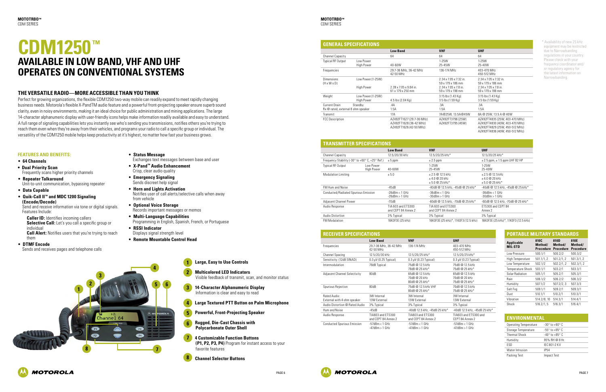

**1 Large, Easy to Use Controls 1**

- **2 Multicolored LED Indicators** Visible feedback of transmit, scan, and monitor status **2**
- **3 14-Character Alphanumeric Display** Information is clear and easy to read
- **4 Large Textured PTT Button on Palm Microphone 4**
- **5 Powerful, Front-Projecting Speaker 5**
- **6 Rugged, Die-Cast Chassis with Polycarbonate Outer Shell 6**
- **7 4 Customizable Function Buttons (P1, P2, P3, P4)** Program for instant access to your favorite features **7**
- **5 Channel Selector Buttons**



- **Caller ID:** Identifies incoming callers **Selective Call:** Let's you call a specific group or individual
- **Call Alert:** Notifies users that you're trying to reach them
- **DTMF Encode**
- Sends and receives pages and telephone calls

#### **Features and Benefits:**

- **64 Channels**
- **Dual Priority Scan** Frequently scans higher priority channels
- **Repeater Talkaround** Unit-to-unit communication, bypassing repeater
- **Data Capable**
- **Quik-Call II™ and MDC 1200 Signaling (Encode/Decode)**

Send and receive information via tone or digital signals. Features Include:

- **Status Message**
- Exchanges text messages between base and user
- **X-Pand™ Audio Enhancement** Crisp, clear audio quality
- **Emergency Signaling** Sends discreet help signal
- **Horn and Lights Activation** Notifies user of call alerts/selective calls when away from vehicle
- **Optional Voice Storage** Records important messages or memos
- **Multi-Language Capabilities** Programming in English, Spanish, French, or Portuguese
- **RSSI Indicator**
- Displays signal strength level
- **Remote Mountable Control Head**

| <b>GENERAL SPECIFICATIONS</b>                       |                                 |                                                                                 |                                                        |                                                                                                                                      |
|-----------------------------------------------------|---------------------------------|---------------------------------------------------------------------------------|--------------------------------------------------------|--------------------------------------------------------------------------------------------------------------------------------------|
|                                                     |                                 | <b>Low Band</b>                                                                 | <b>VHF</b>                                             | <b>UHF</b>                                                                                                                           |
| Channel Capacity                                    |                                 | 64                                                                              | 64                                                     | 64                                                                                                                                   |
| <b>Typical RF Output</b>                            | Low Power<br><b>High Power</b>  | 40-60W                                                                          | $1-25W$<br>25-45W                                      | $1-25W$<br>25-40W                                                                                                                    |
| Frequencies                                         |                                 | 29.7-36 MHz, 36-42 MHz<br>42-50 MHz                                             | 136-174 MHz                                            | 403-470 MHz<br>450-512 MHz                                                                                                           |
| <b>Dimensions</b><br>$(H \times W \times D)$        | Low Power (1-25W)               |                                                                                 | 2.34 x 7.05 x 7.32 in.<br>59 x 179 x 186 mm            | 2.34 x 7.05 x 7.32 in.<br>59 x 179 x 186 mm                                                                                          |
|                                                     | <b>High Power</b>               | 2.39 x 7.05 x 9.84 in.<br>61 x 179 x 250 mm                                     | $2.34 \times 7.05 \times 7.8$ in.<br>59 x 179 x 198 mm | $2.34 \times 7.05 \times 7.8$ in.<br>59 x 179 x 198 mm                                                                               |
| Weight                                              | Low Power (1-25W)<br>High Power | 4.5 lbs (2.04 Kg)                                                               | 3.15 lbs (1.43 Kg)<br>3.5 lbs (1.59 Kg)                | 3.15 lbs (1.43 Kg)<br>$3.5$ lbs (1.59 Kg)                                                                                            |
| Current Drain<br>Rx @ rated, external 8 ohm speaker | Standby                         | .4A<br>1.5A                                                                     | .3A<br>1.5A                                            | .3A<br>1.5A                                                                                                                          |
| Transmit                                            |                                 | 17A                                                                             | 7A@25W, 13.5A@45W                                      | 8A @ 25W, 13.5 A @ 40W                                                                                                               |
| <b>FCC Description</b>                              |                                 | AZ492FT1627 (29.7-36 MHz)<br>AZ492FT1628 (36-42 MHz)<br>AZ492FT1626 (42-50 MHz) | AZ492FT3796 (25W)<br>AZ492FT3795 (45W)                 | AZ492FT4835 (25W, 403-470 MHz)<br>AZ492FT4830 (40W, 403-470 MHz)<br>AZ492FT4829 (25W, 450-512 MHz)<br>AZ492FT4836 (40W, 450-512 MHz) |

#### **TRANSMITTER SPECIFICATIONS**

| I IVANYIVIII I EILYI EVILIVALIVNY               |                                 |                                           |                                                     |                                                     |
|-------------------------------------------------|---------------------------------|-------------------------------------------|-----------------------------------------------------|-----------------------------------------------------|
|                                                 |                                 | <b>Low Band</b>                           | <b>VHF</b>                                          | <b>UHF</b>                                          |
| <b>Channel Capacity</b>                         |                                 | 12.5/20/30 kHz                            | 12.5/20/25 kHz*                                     | 12.5/20/25 kHz*                                     |
| Frequency Stability (-30° to +60° C, +25° Ref.) |                                 | $± 5$ ppm                                 | $\pm 2.5$ ppm                                       | $\pm$ 2.5 ppm, $\pm$ 1.5 ppm UHF B2 HP              |
| <b>Typical RF Output</b>                        | I ow Power<br><b>High Power</b> | 40-60W                                    | $1-25W$<br>25-45W                                   | $1-25W$<br>25-40W                                   |
| <b>Modulation Limiting</b>                      |                                 | ± 5.0                                     | $+2.5@12.5kHz$<br>$+4.0@20kHz$<br>$± 5.0 @ 25 kHz*$ | $+2.5@12.5kHz$<br>$+4.0@20kHz$<br>$± 5.0 @ 25 kHz*$ |
| <b>FM Hum and Noise</b>                         |                                 | $-45dB$                                   | -40dB @ 12.5 kHz. -45dB @ 25 kHz*                   | -40dB @ 12.5 kHz. -45dB @ 25 kHz*                   |
| Conducted/Radiated Spurious Emission            |                                 | $-26dBm < 1$ GHz<br>$-26dBm > 1$ GHz      | $-36dBm < 1$ GHz<br>$-30$ d $Bm > 1$ GHz            | $-36$ d $Bm < 1$ GHz<br>$-30$ dBm $> 1$ GHz         |
| <b>Adjacent Channel Power</b>                   |                                 | $-70dB$                                   | -60dB @ 12.5 kHz. -70dB @ 25 kHz*                   | -60dB @ 12.5 kHz, -70dB @ 25 kHz*                   |
| Audio Response                                  |                                 | TIA 603 and FTS300<br>and CEPT 84 Annex 2 | TIA 603 and FTS300<br>and CEPT 84 Annex 2           | FTS300 and CFPT 84<br>Annex 2                       |
| Audio Distortion                                |                                 | 3% Typical                                | 3% Typical                                          | 3% Typical                                          |
| <b>FM Modulation</b>                            |                                 | 16K0F3E (25 kHz)                          | 16K0F3E (25 kHz)*, 11K0F3 (12.5 kHz)                | 16K0F3E (25 kHz)*, 11K0F3 (12.5 kHz)                |

| <b>PORTABLE MILITARY STANDARDS</b>  |                                     |                                     |                                     |  |
|-------------------------------------|-------------------------------------|-------------------------------------|-------------------------------------|--|
| <b>Applicable</b><br><b>MIL-STD</b> | 810C<br>Method/<br><b>Procedure</b> | 810D<br>Method/<br><b>Procedure</b> | 810E<br>Method/<br><b>Procedure</b> |  |
| Low Pressure                        | 500.1/1                             | 500.2/2                             | 500.3/2                             |  |
| High Temperature                    | 501.1/1, 2                          | 501.2/1, 2                          | 501.3/1, 2                          |  |
| Low Temperature                     | 502.1/2                             | 502.2/1, 2                          | 502.3/1, 2                          |  |
| <b>Temperature Shock</b>            | 503.1/1                             | 503.2/1                             | 503.3/1                             |  |
| <b>Solar Radiation</b>              | 505.1/1                             | 505.2/1                             | 505.3/1                             |  |
| Rain                                | 506.1/2                             | 506.2/2                             | 506.3/2                             |  |
| Humidity                            | 507.1/2                             | 507.2/2, 3                          | 507.3/3                             |  |
| Salt Fog                            | 509.1/1                             | 509.2/1                             | 509.3/1                             |  |
| Dust                                | 510.1/1                             | 510.2/1                             | 510.3/1                             |  |
| Vibration                           | 514.2/8, 10                         | 514.3/1                             | 514.4/1                             |  |
| Shock                               | 516.2/1.5                           | 516.3/1                             | 516.4/1                             |  |

| <b>RECEIVER SPECIFICATIONS</b>              |                                              |                                                    |                                                    |
|---------------------------------------------|----------------------------------------------|----------------------------------------------------|----------------------------------------------------|
|                                             | <b>Low Band</b>                              | <b>VHF</b>                                         | <b>UHF</b>                                         |
| Frequencies                                 | 29.7-36 MHz, 36-42 MHz<br>42-50 MHz          | 136-174 MHz                                        | 403-470 MHz<br>450-512 MHz                         |
| <b>Channel Spacing</b>                      | 12.5/20/30 kHz                               | 12.5/20/25 kHz*                                    | 12.5/20/25 kHz*                                    |
| Sensitivity: (12dB SINAD)                   | $0.3 \mu V (0.25$ Typical)                   | $0.3 \mu V$ (0.23 Typical)                         | $0.3 \mu V$ (0.23 Typical)                         |
| Intermodulation                             | 78dB Typical                                 | 75dB @ 12.5 kHz<br>78dB @ 25 kHz*                  | 75dB @ 12.5 kHz<br>75dB @ 25 kHz*                  |
| <b>Adjacent Channel Selectivity</b>         | 80dB                                         | 65dB @ 12.5 kHz<br>70dB @ 20 kHz<br>80dB @ 25 kHz* | 65dB @ 12.5 kHz<br>70dB @ 20 kHz<br>75dB @ 25 kHz* |
| Spurious Rejection                          | 80dB                                         | 75dB @ 12.5 kHz VHF<br>80dB @ 25 kHz*              | 70dB @ 12.5 kHz<br>75dB @ 25 kHz*                  |
| Rated Audio:<br>External with 4 ohm speaker | 3W Internal<br>13W External                  | 3W Internal<br>13W External                        | 3W Internal<br>13W External                        |
| Audio Distortion @ Rated Audio              | 3% Typical                                   | 3% Typical                                         | 3% Typical                                         |
| Hum and Noise                               | $-45dB$                                      | -40dB 12.5 kHz, -45dB 25 kHz*                      | -40dB 12.5 kHz, -45dB 25 kHz*                      |
| Audio Response                              | TIA603 and FTS300<br>and CFPT 84 Annex 2     | TIA603 and FTS300<br>and CFPT 84 Annex 2           | TIA603 and FTS300 and<br>CFPT 84 Annex 2           |
| <b>Conducted Spurious Emission</b>          | $-57$ d $Bm < 1$ GHz<br>$-47$ d $Bm > 1$ GHz | $-57$ d $Bm < 1$ GHz<br>$-47$ d $Bm > 1$ GHz       | $-57$ d $Bm < 1$ GHz<br>$-47$ d $Bm > 1$ GHz       |

| <b>ENVIRONMENTAL</b> |
|----------------------|
|----------------------|

| <b>Operating Temperature</b> | $-30^\circ$ to $+60^\circ$ C     |
|------------------------------|----------------------------------|
| Storage Temperature          | $-55^{\circ}$ to $+85^{\circ}$ C |
| <b>Thermal Shock</b>         | $-40^\circ$ to $+85^\circ$ C     |
| Humidity                     | 95% RH @ 8 Hr.                   |
| <b>FSD</b>                   | <b>IFC 801-2 KV</b>              |
| Water Intrusion              | <b>IP54</b>                      |
| Packing Test                 | Impact Test                      |

\* Availability of new 25 kHz equipment may be restricted due to Narrowbanding regulations in your country. Please check with your frequency coordinator and/ or regulatory agency for the latest information on Narrowbanding.

### **CDM1250™ Available in Low Band, VHF and UHF Operates on Conventional Systems**

#### **The Versatile Radio—more accessible than you think**

Perfect for growing organizations, the flexible CDM1250 two-way mobile can readily expand to meet rapidly changing business needs. Motorola's flexible X-PandTM audio feature and a powerful front-projecting speaker ensure superb sound clarity, even in noisy environments, making it an ideal choice for public administration and mining applications. The large 14-character alphanumeric display with user-friendly icons helps make information readily available and easy to understand. A full range of signaling capabilities lets you instantly see who's sending you transmissions, notifies others you're trying to reach them even when they're away from their vehicles, and programs your radio to call a specific group or individual. The versatility of the CDM1250 mobile helps keep productivity at it's highest, no matter how fast your business grows.

**8**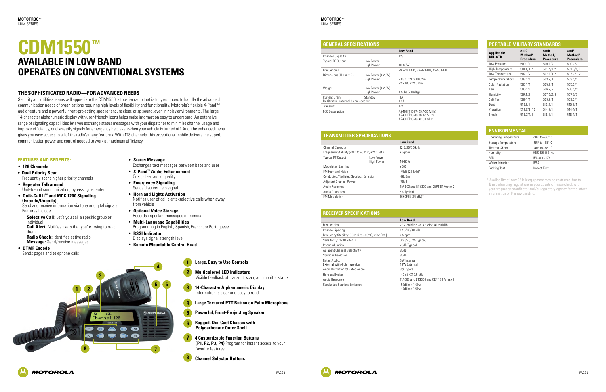

#### **1 Large, Easy to Use Controls 1**



#### **Features and Benefits:**

- **128 Channels**
- **Dual Priority Scan** Frequently scans higher priority channels
- **Repeater Talkaround** Unit-to-unit communication, bypassing repeater
- **Quik-Call II™ and MDC 1200 Signaling (Encode/Decode)** Send and receive information via tone or digital signals.

Features Include: **Selective Call:** Let's you call a specific group or

individual **Call Alert:** Notifies users that you're trying to reach them

**Radio Check:** Identifies active radio **Message:** Send/receive messages

• **DTMF Encode**

Sends pages and telephone calls

- **2 Multicolored LED Indicators** Visible feedback of transmit, scan, and monitor status **2**
- **3 14-Character Alphanumeric Display** Information is clear and easy to read **3**
- **4 Large Textured PTT Button on Palm Microphone 4**
- **5 Powerful, Front-Projecting Speaker 5**
- **6 Rugged, Die-Cast Chassis with Polycarbonate Outer Shell 6**
- **7 4 Customizable Function Buttons (P1, P2, P3, P4)** Program for instant access to your favorite features **7**
- **5 Channel Selector Buttons 8**
- **Status Message**
- Exchanges text messages between base and user
- **X-Pand™ Audio Enhancement** Crisp, clear audio quality
- **Emergency Signaling** Sends discreet help signal
- **Horn and Lights Activation** Notifies user of call alerts/selective calls when away from vehicle
- **Optional Voice Storage** Records important messages or memos
- **Multi-Language Capabilities** Programming in English, Spanish, French, or Portuguese
- **RSSI Indicator** Displays signal strength level
- **Remote Mountable Control Head**

### **CDM1550™ Available in Low Band Operates on Conventional Systems**

#### **The Sophisticated Radio—for advanced needs**

Security and utilities teams will appreciate the CDM1550, a top-tier radio that is fully equipped to handle the advanced communication needs of organizations requiring high levels of flexibility and functionality. Motorola's flexible X-Pand™ audio feature and a powerful front-projecting speaker ensure clear, crisp sound, even in noisy environments. The large 14-character alphanumeric display with user-friendly icons helps make information easy to understand. An extensive range of signaling capabilities lets you exchange status messages with your dispatcher to minimize channel usage and improve efficiency, or discreetly signals for emergency help even when your vehicle is turned off. And, the enhanced menu gives you easy access to all of the radio's many features. With 128 channels, this exceptional mobile delivers the superb communication power and control needed to work at maximum efficiency.

| <b>GENERAL SPECIFICATIONS</b>                              |                                        |                                                                                 |  |
|------------------------------------------------------------|----------------------------------------|---------------------------------------------------------------------------------|--|
|                                                            |                                        | <b>Low Band</b>                                                                 |  |
| <b>Channel Capacity</b>                                    |                                        | 128                                                                             |  |
| <b>Typical RF Output</b>                                   | I ow Power<br><b>High Power</b>        | 40-60W                                                                          |  |
| Frequencies                                                |                                        | 29.7-36 MHz, 36-42 MHz, 42-50 MHz                                               |  |
| Dimensions (H x W x D)                                     | Low Power (1-25W)<br><b>High Power</b> | 2.83 x 7.28 x 10.02 in.<br>72 x 185 x 255 mm                                    |  |
| Weight                                                     | Low Power (1-25W)<br><b>High Power</b> | 4.5 lbs (2.04 Kg)                                                               |  |
| <b>Current Drain</b><br>Rx @ rated, external 8 ohm speaker | Standby                                | .4A<br>1.5A                                                                     |  |
| Transmit                                                   |                                        | 17A                                                                             |  |
| <b>FCC Description</b>                                     |                                        | AZ492FT1627 (29.7-36 MHz)<br>AZ492FT1628 (36-42 MHz)<br>AZ492FT1626 (42-50 MHz) |  |

#### **TRANSMITTER SPECIFICATIONS**

|                                                 |                                 | <b>Low Band</b>                        |
|-------------------------------------------------|---------------------------------|----------------------------------------|
| <b>Channel Capacity</b>                         |                                 | 12.5/20/30 kHz                         |
| Frequency Stability (-30° to +60° C, +25° Ref.) |                                 | $± 5$ ppm                              |
| <b>Typical RF Output</b>                        | I ow Power<br><b>High Power</b> | 40-60W                                 |
| <b>Modulation Limiting</b>                      |                                 | $+5.0$                                 |
| <b>FM Hum and Noise</b>                         |                                 | $-45dB(25 kHz)$ *                      |
| Conducted/Radiated Spurious Emission            |                                 | $-26d$ Bm                              |
| Adjacent Channel Power                          |                                 | $-70dB$                                |
| Audio Response                                  |                                 | TIA 603 and ETS300 and CEPT 84 Annex 2 |
| <b>Audio Distortion</b>                         |                                 | 3% Typical                             |
| <b>FM Modulation</b>                            |                                 | 16K0F3E (25 kHz)*                      |
|                                                 |                                 |                                        |

|  | PORTABLE MILITARY STANDARDS |  |  |
|--|-----------------------------|--|--|
|  |                             |  |  |
|  |                             |  |  |
|  |                             |  |  |

| Applicable<br>MIL STD | 810C<br>Method/<br><b>Procedure</b> | 810D<br>Method/<br><b>Procedure</b> | 810E<br>Method/<br><b>Procedure</b> |
|-----------------------|-------------------------------------|-------------------------------------|-------------------------------------|
| Low Pressure          | 500.1/1                             | 500.2/2                             | 500.3/2                             |
| High Temperature      | 501.1/1, 2                          | 501.2/1, 2                          | 501.3/1, 2                          |
| Low Temperature       | 502.1/2                             | 502.2/1, 2                          | 502.3/1, 2                          |
| Temperature Shock     | 503.1/1                             | 503.2/1                             | 503.3/1                             |
| Solar Radiation       | 505.1/1                             | 505.2/1                             | 505.3/1                             |
| Rain                  | 506.1/2                             | 506.2/2                             | 506.3/2                             |
| Humidity              | 507.1/2                             | 507.2/2, 3                          | 507.3/3                             |
| Salt Fog              | 509.1/1                             | 509.2/1                             | 509.3/1                             |
| Dust                  | 510.1/1                             | 510.2/1                             | 510.3/1                             |
| Vibration             | 514.2/8, 10                         | 514.3/1                             | 514.4/1                             |
| Shock                 | 516.2/1, 5                          | 516.3/1                             | 516.4/1                             |

#### **RECEIVER SPECIFICATIONS**

|                                                                                                       | <b>Low Band</b>                       |
|-------------------------------------------------------------------------------------------------------|---------------------------------------|
| Frequencies                                                                                           | 29.7-36 MHz, 36-42 MHz, 42-50 MHz     |
| <b>Channel Spacing</b>                                                                                | 12.5/20/30 kHz                        |
| Frequency Stability: $(-30^{\circ} \text{ C to } +60^{\circ} \text{ C}$ , $+25^{\circ} \text{ Ref.})$ | $± 5$ ppm                             |
| Sensitivity: (12dB SINAD)                                                                             | $0.3 \mu V$ (0.25 Typical)            |
| Intermodulation                                                                                       | 78dB Typical                          |
| <b>Adjacent Channel Selectivity</b>                                                                   | 80dB                                  |
| Spurious Rejection                                                                                    | 80dB                                  |
| Rated Audio:                                                                                          | 3W Internal                           |
| External with 4 ohm speaker                                                                           | 13W External                          |
| Audio Distortion @ Rated Audio                                                                        | 3% Typical                            |
| Hum and Noise                                                                                         | -40 dB @12.5 kHz                      |
| Audio Response                                                                                        | TIA603 and FTS300 and CFPT 84 Annex 2 |
| <b>Conducted Spurious Emission</b>                                                                    | $-57$ d $Bm < 1$ GHz                  |
|                                                                                                       | $-47$ d $Bm > 1$ GHz                  |



| <b>ENVIRONMENTAL</b> |  |
|----------------------|--|
|                      |  |
|                      |  |

| <b>Operating Temperature</b> | $-30^\circ$ to $+60^\circ$ C     |
|------------------------------|----------------------------------|
| Storage Temperature          | $-55^{\circ}$ to $+85^{\circ}$ C |
| <b>Thermal Shock</b>         | $-40^\circ$ to $+85^\circ$ C     |
| Humidity                     | 95% RH @ 8 Hr.                   |
| <b>FSD</b>                   | <b>IFC 801-2 KV</b>              |
| Water Intrusion              | <b>IP54</b>                      |
| Packing Test                 | Impact Test                      |
|                              |                                  |

\* Availability of new 25 kHz equipment may be restricted due to Narrowbanding regulations in your country. Please check with your frequency coordinator and/or regulatory agency for the latest information on Narrowbanding.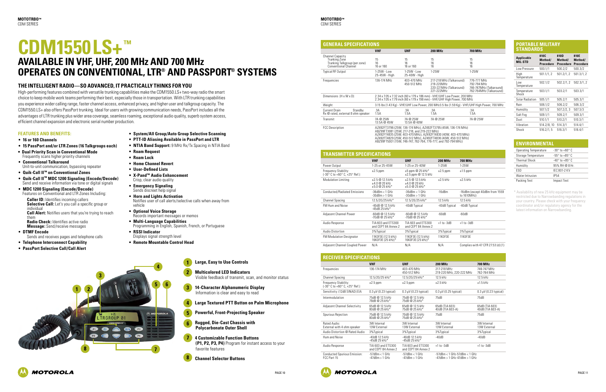





#### **Large, Easy to Us 1**

- **5 6 2**
	- **3**
	- **4**
		- **5**
		- **6 Rugged, Die-Cast Chassis with**

| lse Controls                                                 |  |
|--------------------------------------------------------------|--|
| <b>D</b> Indicators<br>of transmit, scan, and monitor status |  |
| <b>phanumeric Display</b>                                    |  |

**Caller ID:** Identifies incoming callers **Selective Call:** Let's you call a specific group or individual **Call Alert:** Notifies users that you're trying to reach

**1 2**

**4**



#### **Features and Benefits:**

- **16 or 160 Channels**
- **15 PassPort and/or LTR Zones (16 Talkgroups each)**
- **Dual Priority Scan in Conventional Mode** Frequently scans higher priority channels
- **Conventional Talkaround** Unit-to-unit communication, bypassing repeater
- **Quik-Call II™ on Conventional Zones**
- **Quik-Call II™ MDC 1200 Signaling (Encode/Decode)** Send and receive information via tone or digital signals
- **MDC 1200 Signaling (Encode/Decode)** Features on Conventional and LTR Zones Including:

them **Radio Check:** Identifies active radio **Message:** Send/receive messages

- **DTMF Encode** Sends and receives pages and telephone calls
- **Telephone Interconnect Capability**
- **PassPort Selective Call/Call Alert**

- **Multicolored LE** Visible feedback of
- **14-Character Alp**
- **4 Large Textured PTT Button on Palm Microphone**
- **5 Powerful, Front-Projecting Speaker**
- **Polycarbonate Outer Shell 6**
- **7 4 Customizable Function Buttons (P1, P2, P3, P4)** Program for instant access to your favorite features **7**
- **5 Channel Selector Buttons 8**

#### **GENERAL SPECIFICATIONS VHF UHF 200 MHz 700 MHz** Channel Capacity Trunking Zone Trunking Talkgroup (per zone) Conventional Channel 15 16 16 or 160 15 16 16 or 160 15 16 16 Typical RF Output 1-25W - Low 25-45W - High 1-25W - Low 25-40W - High 1-25W 1-25W Frequencies 136-174 MHz 403-470 MHz 450-512 MHz 217-218 MH 219-220MHz 220-221MH 221-222MHz Dimensions  $(H \times W \times D)$  2.34 x 7.05 x 7.32 inch (60 x 179 x 186 mm) - VHF/UHF 2.34 x 7.05 x 7.79 inch (60 x 179 x 198 mm) - VHF/UHF Weight 3.15 lbs (1.43 Kg) - VHF/UHF Low Power, 200 MHz3.5 lbs Current Drain Standby Rx @ rated, external 8 ohm speaker .3A 1.5A .3A 1.5A .3A 1.5A Transmit 7A @ 25W 13.5A @ 45W 7A @ 25W 13.5A @ 40W 7A @ 25W FCC Description AZ492FT3796 (25W, 136-174 MHz), AZ492FT3795 (45

- **System/All Group/Auto Group Selective Scanning**
- **PTT-ID Aliasing Available in PassPort and LTR**
- **NTIA Band Support:** 9 MHz Rx/Tx Spacing in NTIA Band
- **Roam Request**
- **Roam Lock**
- **Home Channel Revert**
- **User-Defined Lists**
- **X-Pand™ Audio Enhancement**
- Crisp, clear audio quality • **Emergency Signaling** Sends discreet help signal
- **Horn and Lights Activation** Notifies user of call alerts/selective calls when away from vehicle
- **Optional Voice Storage** Records important messages or memos
- **Multi-Language Capabilities** Programming in English, Spanish, French, or Portuguese
- **RSSI Indicator** Displays signal strength level
- **Remote Mountable Control Head**

ABZ99FT3081 (25W, 217-218, and 219-222 MHz) AZ492FT4835 (25W, 403-470 MHz), AZ492FT4830 (40W, 403-470 MHz) AZ492FT4829 (25W, 450-512 MHz), AZ492FT4836 (40

| .BZ99FT5001 (15W, 746-747, 762-764, 776-777, and |  |  |  |
|--------------------------------------------------|--|--|--|
|                                                  |  |  |  |

# **CDM1550LS+™**

### **Available in VHF, UHF, 200 MHz and 700 MHz Operates on Conventional, LTR® and PassPort® Systems**

#### **The Intelligent Radio—so advanced, it practically thinks for you**

High-performing features combined with versatile trunking capabilities make the CDM1550.LS+ two-way radio the smart choice to keep mobile work teams performing their best, especially those in transportation. With LTR trunking capabilities you experience wider calling range, faster channel access, enhanced privacy, and higher user and talkgroup capacity. The CDM1550.LS+ also offers PassPort trunking. Ideal for users with growing communication needs, PassPort includes all the advantages of LTR trunking plus wider area coverage, seamless roaming, exceptional audio quality, superb system access, efficient channel expansion and electronic serial number production.

**3**

|                                                | <b>700 MHz</b>                                                                    |
|------------------------------------------------|-----------------------------------------------------------------------------------|
|                                                | 15<br>16<br>16                                                                    |
|                                                | $1-25W$                                                                           |
| łz (Talkaround)<br>l7<br>Iz (Talkaround)<br>l7 | 776-777 MHz<br>792-794 MHz<br>746-747 MHz (Talkaround)<br>762-764MHz (Talkaround) |
| Low Power, 200 MHz<br>ligh Power, 700 MHz      |                                                                                   |
|                                                | bs (1.59 Kg) - VHF/UHF High Power, 700 MHz                                        |
|                                                | .3A<br>1.5A                                                                       |
|                                                | 7A @ 25W                                                                          |
| W. 136-174 MHz)                                |                                                                                   |
| )W, 403-470 MHz)<br>IW. 450-512 MHz)           |                                                                                   |

 $\frac{18}{192}$ -794 MHz)

#### **PORTABLE MILITARY STANDARDS**

| <b>Applicable</b><br><b>MIL-STD</b> | 810C<br>Method/<br>Procedure | 810D<br>Method/<br><b>Procedure</b> | 810E<br>Method/<br><b>Procedure</b> |
|-------------------------------------|------------------------------|-------------------------------------|-------------------------------------|
| Low Pressure                        | 500.1/1                      | 500.2/2                             | 500.3/2                             |
| High<br>Temperature                 | 501.1/1.2                    | 501.2/1.2                           | 501.3/1.2                           |
| l ow<br>Temperature                 | 502.1/2                      | 502.2/1.2                           | 502.3/1.2                           |
| Temperature<br>Shock                | 503.1/1                      | 503.2/1                             | 503.3/1                             |
| Solar Radiation                     | 505.1/1                      | 505.2/1                             | 505.3/1                             |
| Rain                                | 506.1/2                      | 506.2/2                             | 506.3/2                             |
| Humidity                            | 507.1/2                      | 507.2/2.3                           | 507.3/3                             |
| Salt Fog                            | 509.1/1                      | 509.2/1                             | 509.3/1                             |
| Dust                                | 510.1/1                      | 510.2/1                             | 510.3/1                             |
| Vibration                           | 514.2/8, 10                  | 514.3/1                             | 514.4/1                             |
| Shock                               | 516.2/1.5                    | 516.3/1                             | 516.4/1                             |

| <b>ENVIRONMENTAL</b> |  |
|----------------------|--|
|----------------------|--|

| <b>Operating Temperature</b> | $-30^\circ$ to $+60^\circ$ C     |
|------------------------------|----------------------------------|
| Storage Temperature          | $-55^{\circ}$ to $+85^{\circ}$ C |
| <b>Thermal Shock</b>         | $-40^\circ$ to $+85^\circ$ C     |
| Humidity                     | 95% RH @ 8 Hr.                   |
| <b>FSD</b>                   | <b>IEC 801-2 KV</b>              |
| Water Intrusion              | IP54                             |
| Packing Test                 | <b>Impact Test</b>               |
|                              |                                  |

\* Availability of new 25 kHz equipment may be restricted due to Narrowbanding regulations in your country. Please check with your frequency coordinator and/or regulatory agency for the latest information on Narrowbanding.

| <b>TRANSMITTER SPECIFICATIONS</b>                  |                                                  |                                                  |                |                                                |  |  |  |
|----------------------------------------------------|--------------------------------------------------|--------------------------------------------------|----------------|------------------------------------------------|--|--|--|
|                                                    | <b>VHF</b>                                       | <b>UHF</b>                                       | <b>200 MHz</b> | <b>700 MHz</b>                                 |  |  |  |
| Power Output                                       | 1-25 or 25-45W                                   | 1-25 or 25-40W                                   | $1-25W$        | $1-25W$                                        |  |  |  |
| Frequency Stability:<br>(-30°C to +60°C, +25°Ref.) | $±2.5$ ppm                                       | $\pm 5$ ppm @ 25 kHz*<br>$±2.5$ ppm $@12.5$ kHz  | $\pm 2.5$ ppm  | $±1.5$ ppm                                     |  |  |  |
| <b>Modulation Limiting</b>                         | ±2.5 @ 12.5 kHz<br>$+4.0@20kHz$<br>$±5.0@25kHz*$ | $+2.5@12.5kHz$<br>±4.0 @ 20 kHz<br>$±5.0@25kHz*$ | $\pm 2.5$ kHz  | $±2.5$ kHz                                     |  |  |  |
| Conducted/Radiated Emissions                       | $-36$ d $Bm < 1$ GHz<br>$-30$ d $Bm > 1$ GHz     | $-36$ d $Bm < 1$ GHz<br>$-30$ d $Bm > 1$ GHz     | $-16dBm$       | -16dBm (except 40dBm from 1559)<br>to 1610MHz) |  |  |  |
| Channel Spacing                                    | 12.5/20/25 kHz*                                  | 12.5/20/25 kHz*                                  | $12.5$ kHz     | 12.5 kHz                                       |  |  |  |
| <b>FM Hum and Noise</b>                            | $-40$ dB @ 12.5 kHz<br>$-45dB$ 25 kHz*           | -40dB Typical                                    | -40dB Typical  | -40dB Typical                                  |  |  |  |
| <b>Adjacent Channel Power</b>                      | -60dB @ 12.5 kHz<br>-70dB @ 25 kHz*              | $-60$ dB @ 12.5 kHz<br>-70dB @ 25 kHz*           | $-60dB$        | $-60dB$                                        |  |  |  |
| Audio Response                                     | TIA 603 and FTS300<br>and CEPT 84 Annex 2        | TIA 603 and FTS300<br>and CEPT 84 Annex 2        | $+1$ to $-3dB$ | $+1$ to $-3dB$                                 |  |  |  |
| Audio Distortion                                   | 3%Typical                                        | 3%Typical                                        | 3%Typical      | 3%Typical                                      |  |  |  |
| <b>FM Modulation Designator</b>                    | 11K0F3E (12.5 kHz)<br>16K0F3E (25 kHz)*          | 11K0F3E (12.5 kHz)<br>16K0F3E (25 kHz)*          | 11K0F3E        | 11K0F3E                                        |  |  |  |
| Adjacent Channel Coupled Power                     | N/A                                              | N/A                                              | N/A            | Complies with 47 CFR 27.53 (d) (1)             |  |  |  |

#### **RECEIVED CRECIFICATIONS**

| REGERER SE EGILIGA HUNG                               |                                              |                                              |                                                                                  |                                    |  |  |  |  |
|-------------------------------------------------------|----------------------------------------------|----------------------------------------------|----------------------------------------------------------------------------------|------------------------------------|--|--|--|--|
|                                                       | <b>VHF</b>                                   | <b>UHF</b>                                   | 200 MHz                                                                          | <b>700 MHz</b>                     |  |  |  |  |
| Frequencies                                           | 136-174 MHz                                  | 403-470 MHz<br>450-512 MHz                   | 217-218 MHz<br>219-220 MHz, 220-222 MHz                                          | 746-747 MHz<br>762-764 MHz         |  |  |  |  |
| <b>Channel Spacing</b>                                | 12.5/20/25 kHz*                              | 12.5/20/25 kHz*                              | 12.5 kHz                                                                         | 12.5 kHz                           |  |  |  |  |
| Frequency Stability:<br>(-30° C to +60° C, +25° Ref.) | $\pm 2.5$ ppm                                | $\pm 2.5$ ppm                                | $\pm 2.5$ kHz                                                                    | $±1.5$ kHz                         |  |  |  |  |
| Sensitivity: (12dB SINAD) EIA                         | $0.3 \mu V$ (0.23 typical)                   | $0.3 \mu V$ (0.23 typical)                   | $0.3 \mu V$ (0.25 typical)                                                       | $0.3 \mu V$ (0.23 typical)         |  |  |  |  |
| Intermodulation                                       | 75dB @ 12.5 kHz<br>78dB @ 25 kHz*            | 75dB @ 12.5 kHz<br>75dB @ 25 kHz*            | 75dB                                                                             | 75dB                               |  |  |  |  |
| <b>Adjacent Channel Selectivity</b>                   | 65dB @ 12.5 kHz<br>80dB @ 25 kHz*            | 65dB @ 12.5 kHz<br>75dB @ 25 kHz*            | 65dB (TIA 603)<br>40dB (TIA 603-A)                                               | 65dB (TIA 603)<br>40dB (TIA 603-A) |  |  |  |  |
| Spurious Rejection                                    | 75dB @ 12.5 kHz<br>80dB @ 25 kHz*            | 70dB @ 12.5 kHz<br>75dB @ 25 kHz*            | 75dB                                                                             | 75dB                               |  |  |  |  |
| Rated Audio:<br>External with 4 ohm speaker           | 3W Internal<br>13W External                  | 3W Internal<br>13W External                  | 3W Internal<br>13W External                                                      | 3W Internal<br>13W External        |  |  |  |  |
| Audio Distortion @ Rated Audio                        | 3%Typical                                    | 3%Typical                                    | 3%Typical                                                                        | 3%Typical                          |  |  |  |  |
| Hum and Noise                                         | $-40dB$ 12.5 kHz<br>$-45$ dB 25 kHz*         | -40dB 12.5 kHz<br>$-45$ dB 25 kHz*           | $-40dB$                                                                          | $-40dB$                            |  |  |  |  |
| Audio Response                                        | TIA 603 and FTS300<br>and CEPT 84 Annex 2    | TIA 603 and FTS300<br>and CEPT 84 Annex 2    | $+1$ to $-3dB$                                                                   | $+1$ to $-3dB$                     |  |  |  |  |
| Conducted Spurious Emission:<br>FCC Part 15           | $-57$ d $Bm < 1$ GHz<br>$-47$ d $Bm > 1$ GHz | $-57$ d $Bm < 1$ GHz<br>$-47$ d $Bm > 1$ GHz | $-57$ dBm < 1 GHz $-57$ dBm < 1 GHz<br>$-47$ d $Bm > 1$ GHz $-47$ d $Bm > 1$ GHz |                                    |  |  |  |  |